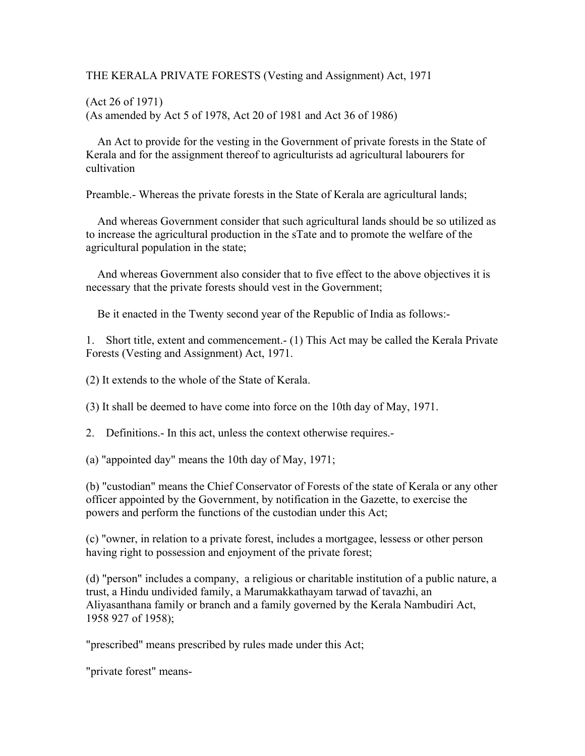THE KERALA PRIVATE FORESTS (Vesting and Assignment) Act, 1971

(Act 26 of 1971) (As amended by Act 5 of 1978, Act 20 of 1981 and Act 36 of 1986)

 An Act to provide for the vesting in the Government of private forests in the State of Kerala and for the assignment thereof to agriculturists ad agricultural labourers for cultivation

Preamble.- Whereas the private forests in the State of Kerala are agricultural lands;

 And whereas Government consider that such agricultural lands should be so utilized as to increase the agricultural production in the sTate and to promote the welfare of the agricultural population in the state;

 And whereas Government also consider that to five effect to the above objectives it is necessary that the private forests should vest in the Government;

Be it enacted in the Twenty second year of the Republic of India as follows:-

1. Short title, extent and commencement.- (1) This Act may be called the Kerala Private Forests (Vesting and Assignment) Act, 1971.

(2) It extends to the whole of the State of Kerala.

(3) It shall be deemed to have come into force on the 10th day of May, 1971.

2. Definitions.- In this act, unless the context otherwise requires.-

(a) "appointed day" means the 10th day of May, 1971;

(b) "custodian" means the Chief Conservator of Forests of the state of Kerala or any other officer appointed by the Government, by notification in the Gazette, to exercise the powers and perform the functions of the custodian under this Act;

(c) "owner, in relation to a private forest, includes a mortgagee, lessess or other person having right to possession and enjoyment of the private forest;

(d) "person" includes a company, a religious or charitable institution of a public nature, a trust, a Hindu undivided family, a Marumakkathayam tarwad of tavazhi, an Aliyasanthana family or branch and a family governed by the Kerala Nambudiri Act, 1958 927 of 1958);

"prescribed" means prescribed by rules made under this Act;

"private forest" means-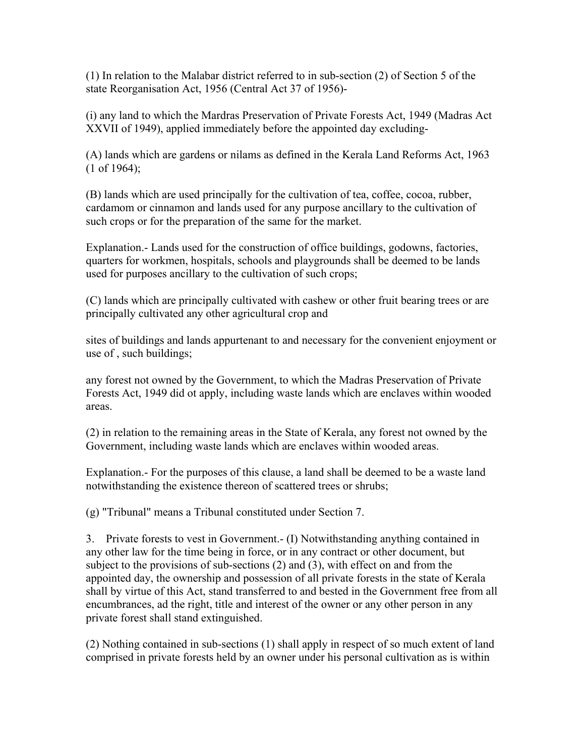(1) In relation to the Malabar district referred to in sub-section (2) of Section 5 of the state Reorganisation Act, 1956 (Central Act 37 of 1956)-

(i) any land to which the Mardras Preservation of Private Forests Act, 1949 (Madras Act XXVII of 1949), applied immediately before the appointed day excluding-

(A) lands which are gardens or nilams as defined in the Kerala Land Reforms Act, 1963 (1 of 1964);

(B) lands which are used principally for the cultivation of tea, coffee, cocoa, rubber, cardamom or cinnamon and lands used for any purpose ancillary to the cultivation of such crops or for the preparation of the same for the market.

Explanation.- Lands used for the construction of office buildings, godowns, factories, quarters for workmen, hospitals, schools and playgrounds shall be deemed to be lands used for purposes ancillary to the cultivation of such crops;

(C) lands which are principally cultivated with cashew or other fruit bearing trees or are principally cultivated any other agricultural crop and

sites of buildings and lands appurtenant to and necessary for the convenient enjoyment or use of , such buildings;

any forest not owned by the Government, to which the Madras Preservation of Private Forests Act, 1949 did ot apply, including waste lands which are enclaves within wooded areas.

(2) in relation to the remaining areas in the State of Kerala, any forest not owned by the Government, including waste lands which are enclaves within wooded areas.

Explanation.- For the purposes of this clause, a land shall be deemed to be a waste land notwithstanding the existence thereon of scattered trees or shrubs;

(g) "Tribunal" means a Tribunal constituted under Section 7.

3. Private forests to vest in Government.- (I) Notwithstanding anything contained in any other law for the time being in force, or in any contract or other document, but subject to the provisions of sub-sections (2) and (3), with effect on and from the appointed day, the ownership and possession of all private forests in the state of Kerala shall by virtue of this Act, stand transferred to and bested in the Government free from all encumbrances, ad the right, title and interest of the owner or any other person in any private forest shall stand extinguished.

(2) Nothing contained in sub-sections (1) shall apply in respect of so much extent of land comprised in private forests held by an owner under his personal cultivation as is within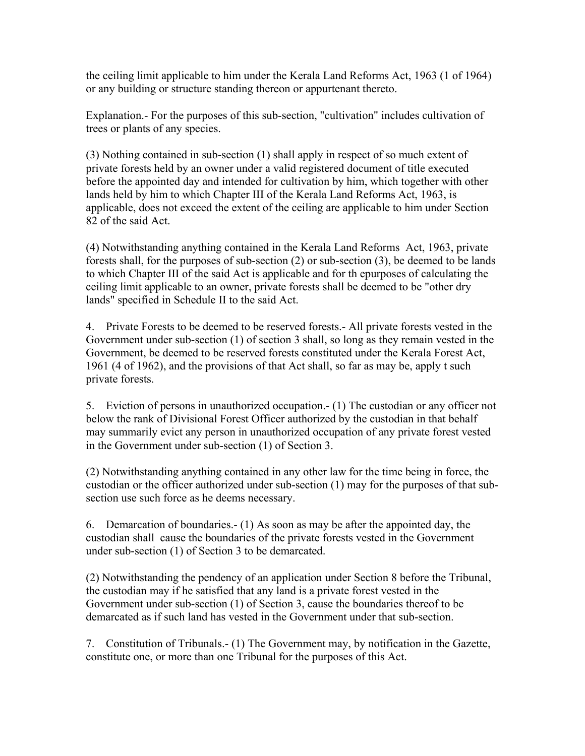the ceiling limit applicable to him under the Kerala Land Reforms Act, 1963 (1 of 1964) or any building or structure standing thereon or appurtenant thereto.

Explanation.- For the purposes of this sub-section, "cultivation" includes cultivation of trees or plants of any species.

(3) Nothing contained in sub-section (1) shall apply in respect of so much extent of private forests held by an owner under a valid registered document of title executed before the appointed day and intended for cultivation by him, which together with other lands held by him to which Chapter III of the Kerala Land Reforms Act, 1963, is applicable, does not exceed the extent of the ceiling are applicable to him under Section 82 of the said Act.

(4) Notwithstanding anything contained in the Kerala Land Reforms Act, 1963, private forests shall, for the purposes of sub-section (2) or sub-section (3), be deemed to be lands to which Chapter III of the said Act is applicable and for th epurposes of calculating the ceiling limit applicable to an owner, private forests shall be deemed to be "other dry lands" specified in Schedule II to the said Act.

4. Private Forests to be deemed to be reserved forests.- All private forests vested in the Government under sub-section (1) of section 3 shall, so long as they remain vested in the Government, be deemed to be reserved forests constituted under the Kerala Forest Act, 1961 (4 of 1962), and the provisions of that Act shall, so far as may be, apply t such private forests.

5. Eviction of persons in unauthorized occupation.- (1) The custodian or any officer not below the rank of Divisional Forest Officer authorized by the custodian in that behalf may summarily evict any person in unauthorized occupation of any private forest vested in the Government under sub-section (1) of Section 3.

(2) Notwithstanding anything contained in any other law for the time being in force, the custodian or the officer authorized under sub-section (1) may for the purposes of that subsection use such force as he deems necessary.

6. Demarcation of boundaries.- (1) As soon as may be after the appointed day, the custodian shall cause the boundaries of the private forests vested in the Government under sub-section (1) of Section 3 to be demarcated.

(2) Notwithstanding the pendency of an application under Section 8 before the Tribunal, the custodian may if he satisfied that any land is a private forest vested in the Government under sub-section (1) of Section 3, cause the boundaries thereof to be demarcated as if such land has vested in the Government under that sub-section.

7. Constitution of Tribunals.- (1) The Government may, by notification in the Gazette, constitute one, or more than one Tribunal for the purposes of this Act.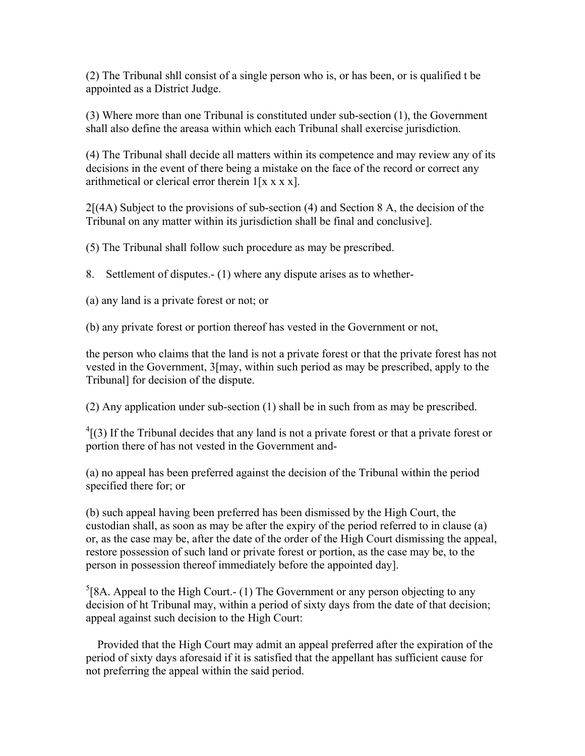(2) The Tribunal shll consist of a single person who is, or has been, or is qualified t be appointed as a District Judge.

(3) Where more than one Tribunal is constituted under sub-section (1), the Government shall also define the areasa within which each Tribunal shall exercise jurisdiction.

(4) The Tribunal shall decide all matters within its competence and may review any of its decisions in the event of there being a mistake on the face of the record or correct any arithmetical or clerical error therein  $1[x x x x]$ .

 $2[(4A)$  Subject to the provisions of sub-section (4) and Section 8 A, the decision of the Tribunal on any matter within its jurisdiction shall be final and conclusive].

(5) The Tribunal shall follow such procedure as may be prescribed.

8. Settlement of disputes.- (1) where any dispute arises as to whether-

(a) any land is a private forest or not; or

(b) any private forest or portion thereof has vested in the Government or not,

the person who claims that the land is not a private forest or that the private forest has not vested in the Government, 3[may, within such period as may be prescribed, apply to the Tribunal] for decision of the dispute.

(2) Any application under sub-section (1) shall be in such from as may be prescribed.

 $^{4}$ [(3) If the Tribunal decides that any land is not a private forest or that a private forest or portion there of has not vested in the Government and-

(a) no appeal has been preferred against the decision of the Tribunal within the period specified there for; or

(b) such appeal having been preferred has been dismissed by the High Court, the custodian shall, as soon as may be after the expiry of the period referred to in clause (a) or, as the case may be, after the date of the order of the High Court dismissing the appeal, restore possession of such land or private forest or portion, as the case may be, to the person in possession thereof immediately before the appointed day].

 ${}^{5}$ [8A. Appeal to the High Court.- (1) The Government or any person objecting to any decision of ht Tribunal may, within a period of sixty days from the date of that decision; appeal against such decision to the High Court:

 Provided that the High Court may admit an appeal preferred after the expiration of the period of sixty days aforesaid if it is satisfied that the appellant has sufficient cause for not preferring the appeal within the said period.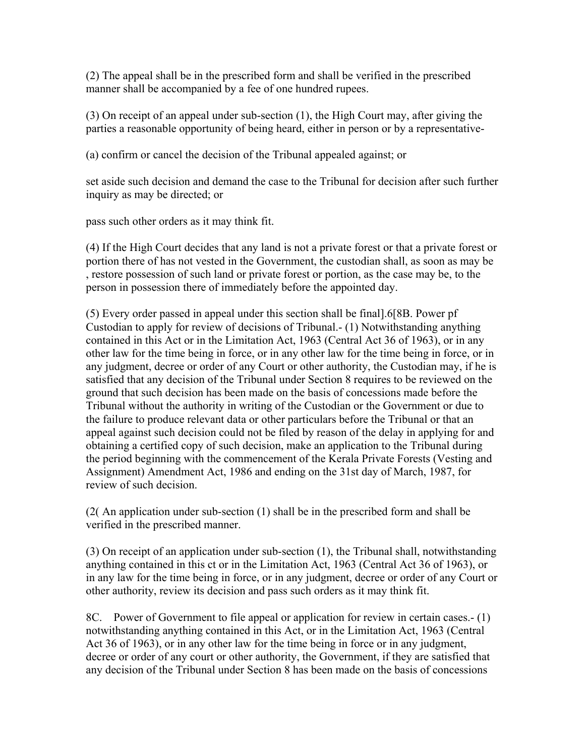(2) The appeal shall be in the prescribed form and shall be verified in the prescribed manner shall be accompanied by a fee of one hundred rupees.

(3) On receipt of an appeal under sub-section (1), the High Court may, after giving the parties a reasonable opportunity of being heard, either in person or by a representative-

(a) confirm or cancel the decision of the Tribunal appealed against; or

set aside such decision and demand the case to the Tribunal for decision after such further inquiry as may be directed; or

pass such other orders as it may think fit.

(4) If the High Court decides that any land is not a private forest or that a private forest or portion there of has not vested in the Government, the custodian shall, as soon as may be , restore possession of such land or private forest or portion, as the case may be, to the person in possession there of immediately before the appointed day.

(5) Every order passed in appeal under this section shall be final].6[8B. Power pf Custodian to apply for review of decisions of Tribunal.- (1) Notwithstanding anything contained in this Act or in the Limitation Act, 1963 (Central Act 36 of 1963), or in any other law for the time being in force, or in any other law for the time being in force, or in any judgment, decree or order of any Court or other authority, the Custodian may, if he is satisfied that any decision of the Tribunal under Section 8 requires to be reviewed on the ground that such decision has been made on the basis of concessions made before the Tribunal without the authority in writing of the Custodian or the Government or due to the failure to produce relevant data or other particulars before the Tribunal or that an appeal against such decision could not be filed by reason of the delay in applying for and obtaining a certified copy of such decision, make an application to the Tribunal during the period beginning with the commencement of the Kerala Private Forests (Vesting and Assignment) Amendment Act, 1986 and ending on the 31st day of March, 1987, for review of such decision.

(2( An application under sub-section (1) shall be in the prescribed form and shall be verified in the prescribed manner.

(3) On receipt of an application under sub-section (1), the Tribunal shall, notwithstanding anything contained in this ct or in the Limitation Act, 1963 (Central Act 36 of 1963), or in any law for the time being in force, or in any judgment, decree or order of any Court or other authority, review its decision and pass such orders as it may think fit.

8C. Power of Government to file appeal or application for review in certain cases.- (1) notwithstanding anything contained in this Act, or in the Limitation Act, 1963 (Central Act 36 of 1963), or in any other law for the time being in force or in any judgment, decree or order of any court or other authority, the Government, if they are satisfied that any decision of the Tribunal under Section 8 has been made on the basis of concessions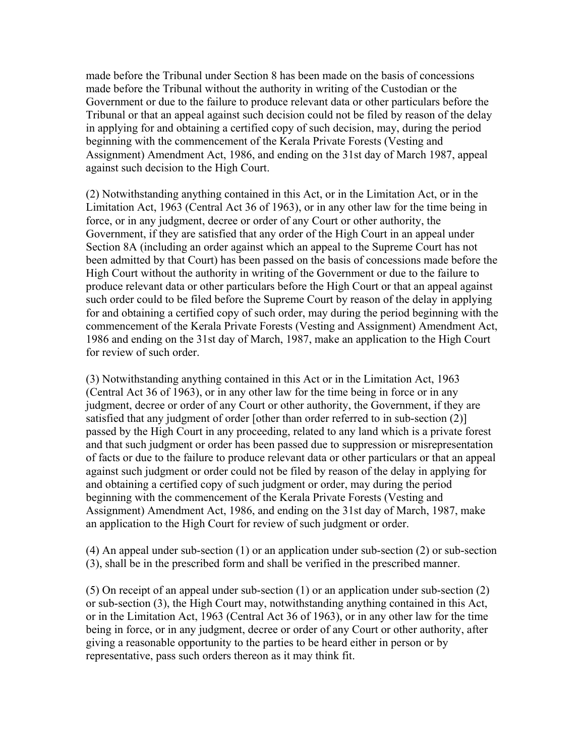made before the Tribunal under Section 8 has been made on the basis of concessions made before the Tribunal without the authority in writing of the Custodian or the Government or due to the failure to produce relevant data or other particulars before the Tribunal or that an appeal against such decision could not be filed by reason of the delay in applying for and obtaining a certified copy of such decision, may, during the period beginning with the commencement of the Kerala Private Forests (Vesting and Assignment) Amendment Act, 1986, and ending on the 31st day of March 1987, appeal against such decision to the High Court.

(2) Notwithstanding anything contained in this Act, or in the Limitation Act, or in the Limitation Act, 1963 (Central Act 36 of 1963), or in any other law for the time being in force, or in any judgment, decree or order of any Court or other authority, the Government, if they are satisfied that any order of the High Court in an appeal under Section 8A (including an order against which an appeal to the Supreme Court has not been admitted by that Court) has been passed on the basis of concessions made before the High Court without the authority in writing of the Government or due to the failure to produce relevant data or other particulars before the High Court or that an appeal against such order could to be filed before the Supreme Court by reason of the delay in applying for and obtaining a certified copy of such order, may during the period beginning with the commencement of the Kerala Private Forests (Vesting and Assignment) Amendment Act, 1986 and ending on the 31st day of March, 1987, make an application to the High Court for review of such order.

(3) Notwithstanding anything contained in this Act or in the Limitation Act, 1963 (Central Act 36 of 1963), or in any other law for the time being in force or in any judgment, decree or order of any Court or other authority, the Government, if they are satisfied that any judgment of order [other than order referred to in sub-section (2)] passed by the High Court in any proceeding, related to any land which is a private forest and that such judgment or order has been passed due to suppression or misrepresentation of facts or due to the failure to produce relevant data or other particulars or that an appeal against such judgment or order could not be filed by reason of the delay in applying for and obtaining a certified copy of such judgment or order, may during the period beginning with the commencement of the Kerala Private Forests (Vesting and Assignment) Amendment Act, 1986, and ending on the 31st day of March, 1987, make an application to the High Court for review of such judgment or order.

(4) An appeal under sub-section (1) or an application under sub-section (2) or sub-section (3), shall be in the prescribed form and shall be verified in the prescribed manner.

(5) On receipt of an appeal under sub-section (1) or an application under sub-section (2) or sub-section (3), the High Court may, notwithstanding anything contained in this Act, or in the Limitation Act, 1963 (Central Act 36 of 1963), or in any other law for the time being in force, or in any judgment, decree or order of any Court or other authority, after giving a reasonable opportunity to the parties to be heard either in person or by representative, pass such orders thereon as it may think fit.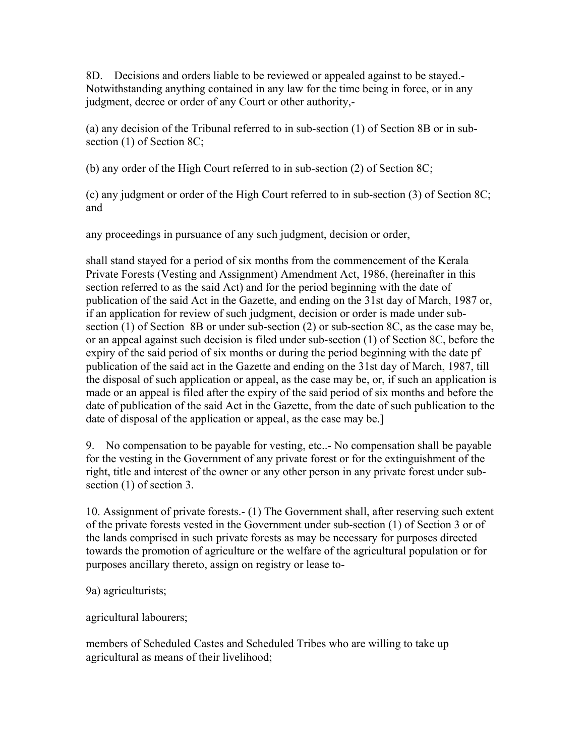8D. Decisions and orders liable to be reviewed or appealed against to be stayed.- Notwithstanding anything contained in any law for the time being in force, or in any judgment, decree or order of any Court or other authority,-

(a) any decision of the Tribunal referred to in sub-section (1) of Section 8B or in subsection (1) of Section 8C;

(b) any order of the High Court referred to in sub-section (2) of Section 8C;

(c) any judgment or order of the High Court referred to in sub-section (3) of Section 8C; and

any proceedings in pursuance of any such judgment, decision or order,

shall stand stayed for a period of six months from the commencement of the Kerala Private Forests (Vesting and Assignment) Amendment Act, 1986, (hereinafter in this section referred to as the said Act) and for the period beginning with the date of publication of the said Act in the Gazette, and ending on the 31st day of March, 1987 or, if an application for review of such judgment, decision or order is made under subsection (1) of Section 8B or under sub-section (2) or sub-section 8C, as the case may be, or an appeal against such decision is filed under sub-section (1) of Section 8C, before the expiry of the said period of six months or during the period beginning with the date pf publication of the said act in the Gazette and ending on the 31st day of March, 1987, till the disposal of such application or appeal, as the case may be, or, if such an application is made or an appeal is filed after the expiry of the said period of six months and before the date of publication of the said Act in the Gazette, from the date of such publication to the date of disposal of the application or appeal, as the case may be.]

9. No compensation to be payable for vesting, etc..- No compensation shall be payable for the vesting in the Government of any private forest or for the extinguishment of the right, title and interest of the owner or any other person in any private forest under subsection (1) of section 3.

10. Assignment of private forests.- (1) The Government shall, after reserving such extent of the private forests vested in the Government under sub-section (1) of Section 3 or of the lands comprised in such private forests as may be necessary for purposes directed towards the promotion of agriculture or the welfare of the agricultural population or for purposes ancillary thereto, assign on registry or lease to-

9a) agriculturists;

agricultural labourers;

members of Scheduled Castes and Scheduled Tribes who are willing to take up agricultural as means of their livelihood;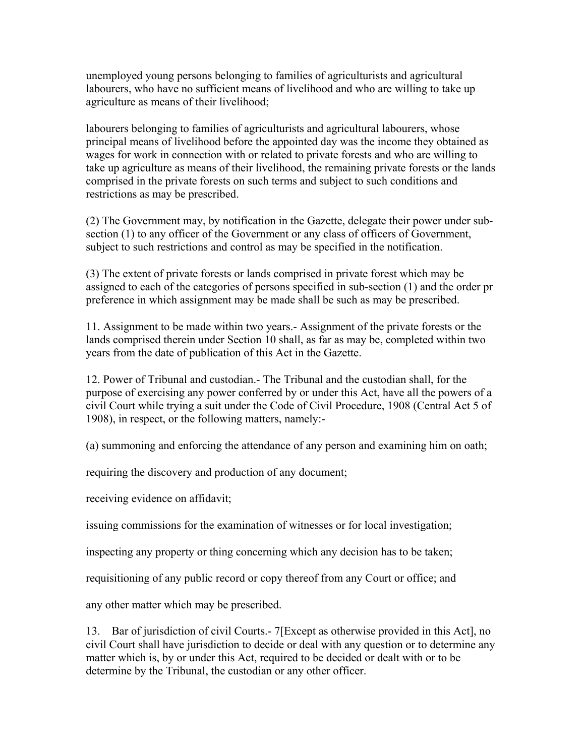unemployed young persons belonging to families of agriculturists and agricultural labourers, who have no sufficient means of livelihood and who are willing to take up agriculture as means of their livelihood;

labourers belonging to families of agriculturists and agricultural labourers, whose principal means of livelihood before the appointed day was the income they obtained as wages for work in connection with or related to private forests and who are willing to take up agriculture as means of their livelihood, the remaining private forests or the lands comprised in the private forests on such terms and subject to such conditions and restrictions as may be prescribed.

(2) The Government may, by notification in the Gazette, delegate their power under subsection (1) to any officer of the Government or any class of officers of Government, subject to such restrictions and control as may be specified in the notification.

(3) The extent of private forests or lands comprised in private forest which may be assigned to each of the categories of persons specified in sub-section (1) and the order pr preference in which assignment may be made shall be such as may be prescribed.

11. Assignment to be made within two years.- Assignment of the private forests or the lands comprised therein under Section 10 shall, as far as may be, completed within two years from the date of publication of this Act in the Gazette.

12. Power of Tribunal and custodian.- The Tribunal and the custodian shall, for the purpose of exercising any power conferred by or under this Act, have all the powers of a civil Court while trying a suit under the Code of Civil Procedure, 1908 (Central Act 5 of 1908), in respect, or the following matters, namely:-

(a) summoning and enforcing the attendance of any person and examining him on oath;

requiring the discovery and production of any document;

receiving evidence on affidavit;

issuing commissions for the examination of witnesses or for local investigation;

inspecting any property or thing concerning which any decision has to be taken;

requisitioning of any public record or copy thereof from any Court or office; and

any other matter which may be prescribed.

13. Bar of jurisdiction of civil Courts.- 7[Except as otherwise provided in this Act], no civil Court shall have jurisdiction to decide or deal with any question or to determine any matter which is, by or under this Act, required to be decided or dealt with or to be determine by the Tribunal, the custodian or any other officer.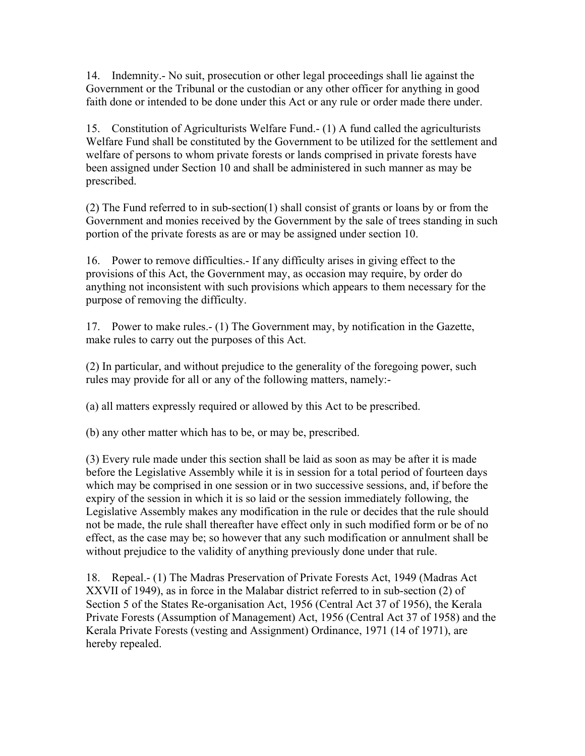14. Indemnity.- No suit, prosecution or other legal proceedings shall lie against the Government or the Tribunal or the custodian or any other officer for anything in good faith done or intended to be done under this Act or any rule or order made there under.

15. Constitution of Agriculturists Welfare Fund.- (1) A fund called the agriculturists Welfare Fund shall be constituted by the Government to be utilized for the settlement and welfare of persons to whom private forests or lands comprised in private forests have been assigned under Section 10 and shall be administered in such manner as may be prescribed.

(2) The Fund referred to in sub-section(1) shall consist of grants or loans by or from the Government and monies received by the Government by the sale of trees standing in such portion of the private forests as are or may be assigned under section 10.

16. Power to remove difficulties.- If any difficulty arises in giving effect to the provisions of this Act, the Government may, as occasion may require, by order do anything not inconsistent with such provisions which appears to them necessary for the purpose of removing the difficulty.

17. Power to make rules.- (1) The Government may, by notification in the Gazette, make rules to carry out the purposes of this Act.

(2) In particular, and without prejudice to the generality of the foregoing power, such rules may provide for all or any of the following matters, namely:-

(a) all matters expressly required or allowed by this Act to be prescribed.

(b) any other matter which has to be, or may be, prescribed.

(3) Every rule made under this section shall be laid as soon as may be after it is made before the Legislative Assembly while it is in session for a total period of fourteen days which may be comprised in one session or in two successive sessions, and, if before the expiry of the session in which it is so laid or the session immediately following, the Legislative Assembly makes any modification in the rule or decides that the rule should not be made, the rule shall thereafter have effect only in such modified form or be of no effect, as the case may be; so however that any such modification or annulment shall be without prejudice to the validity of anything previously done under that rule.

18. Repeal.- (1) The Madras Preservation of Private Forests Act, 1949 (Madras Act XXVII of 1949), as in force in the Malabar district referred to in sub-section (2) of Section 5 of the States Re-organisation Act, 1956 (Central Act 37 of 1956), the Kerala Private Forests (Assumption of Management) Act, 1956 (Central Act 37 of 1958) and the Kerala Private Forests (vesting and Assignment) Ordinance, 1971 (14 of 1971), are hereby repealed.